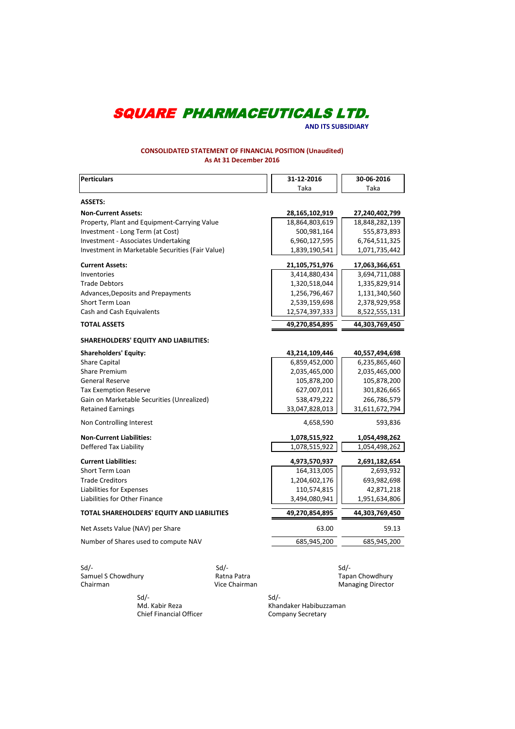**AND ITS SUBSIDIARY**

### **CONSOLIDATED STATEMENT OF FINANCIAL POSITION (Unaudited) As At 31 December 2016**

| Perticulars                                      | 31-12-2016     | 30-06-2016     |
|--------------------------------------------------|----------------|----------------|
|                                                  | Taka           | Taka           |
| <b>ASSETS:</b>                                   |                |                |
| <b>Non-Current Assets:</b>                       | 28,165,102,919 | 27,240,402,799 |
| Property, Plant and Equipment-Carrying Value     | 18,864,803,619 | 18,848,282,139 |
| Investment - Long Term (at Cost)                 | 500,981,164    | 555,873,893    |
| <b>Investment - Associates Undertaking</b>       | 6,960,127,595  | 6,764,511,325  |
| Investment in Marketable Securities (Fair Value) | 1,839,190,541  | 1,071,735,442  |
| <b>Current Assets:</b>                           | 21,105,751,976 | 17,063,366,651 |
| Inventories                                      | 3,414,880,434  | 3,694,711,088  |
| <b>Trade Debtors</b>                             | 1,320,518,044  | 1,335,829,914  |
| Advances, Deposits and Prepayments               | 1,256,796,467  | 1,131,340,560  |
| <b>Short Term Loan</b>                           | 2,539,159,698  | 2,378,929,958  |
| Cash and Cash Equivalents                        | 12,574,397,333 | 8,522,555,131  |
| <b>TOTAL ASSETS</b>                              | 49,270,854,895 | 44,303,769,450 |
| <b>SHAREHOLDERS' EQUITY AND LIABILITIES:</b>     |                |                |
| <b>Shareholders' Equity:</b>                     | 43,214,109,446 | 40,557,494,698 |
| <b>Share Capital</b>                             | 6,859,452,000  | 6,235,865,460  |
| <b>Share Premium</b>                             | 2,035,465,000  | 2,035,465,000  |
| <b>General Reserve</b>                           | 105,878,200    | 105,878,200    |
| <b>Tax Exemption Reserve</b>                     | 627,007,011    | 301,826,665    |
| Gain on Marketable Securities (Unrealized)       | 538,479,222    | 266,786,579    |
| <b>Retained Earnings</b>                         | 33,047,828,013 | 31,611,672,794 |
| Non Controlling Interest                         | 4,658,590      | 593,836        |
| <b>Non-Current Liabilities:</b>                  | 1,078,515,922  | 1,054,498,262  |
| Deffered Tax Liability                           | 1,078,515,922  | 1,054,498,262  |
| <b>Current Liabilities:</b>                      | 4,973,570,937  | 2,691,182,654  |
| <b>Short Term Loan</b>                           | 164,313,005    | 2,693,932      |
| <b>Trade Creditors</b>                           | 1,204,602,176  | 693,982,698    |
| Liabilities for Expenses                         | 110,574,815    | 42,871,218     |
| Liabilities for Other Finance                    | 3,494,080,941  | 1,951,634,806  |
| TOTAL SHAREHOLDERS' EQUITY AND LIABILITIES       | 49,270,854,895 | 44,303,769,450 |
| Net Assets Value (NAV) per Share                 | 63.00          | 59.13          |
| Number of Shares used to compute NAV             | 685,945,200    | 685,945,200    |
|                                                  |                |                |

Sd/- Sd/- Sd/- Samuel S Chowdhury **Ratna Patra** Chairman Chairman Chowdhury Ratna Patra Chairman Chowd Chow Ratna Chow Ratna Chow

**Chairman Chowdhury<br>Managing Director** 

 Sd/- Sd/- Chief Financial Officer

merican Md. Kabir Reza<br>
Chief Financial Officer<br>
Company Secretary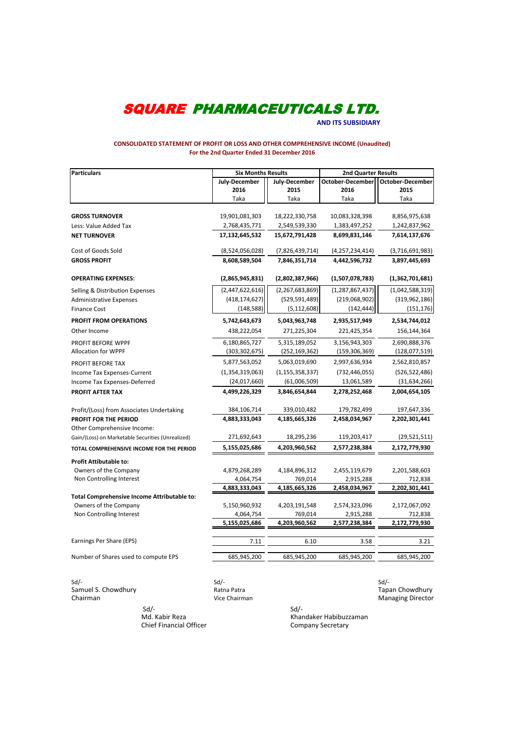**AND ITS SUBSIDIARY**

#### **CONSOLIDATED STATEMENT OF PROFIT OR LOSS AND OTHER COMPREHENSIVE INCOME (Unaudited) For the 2nd Quarter Ended 31 December 2016**

| <b>Particulars</b>                                | <b>Six Months Results</b> |                    | <b>2nd Quarter Results</b> |                         |  |
|---------------------------------------------------|---------------------------|--------------------|----------------------------|-------------------------|--|
|                                                   | July-December             | July-December      | October-December           | <b>October-December</b> |  |
|                                                   | 2016                      | 2015               | 2016                       | 2015                    |  |
|                                                   | Taka                      | Taka               | Taka                       | Taka                    |  |
|                                                   |                           |                    |                            |                         |  |
| <b>GROSS TURNOVER</b>                             | 19,901,081,303            | 18,222,330,758     | 10,083,328,398             | 8,856,975,638           |  |
| Less: Value Added Tax                             | 2,768,435,771             | 2,549,539,330      | 1,383,497,252              | 1,242,837,962           |  |
| <b>NET TURNOVER</b>                               | 17,132,645,532            | 15,672,791,428     | 8,699,831,146              | 7,614,137,676           |  |
| Cost of Goods Sold                                | (8,524,056,028)           | (7,826,439,714)    | (4, 257, 234, 414)         | (3,716,691,983)         |  |
| <b>GROSS PROFIT</b>                               | 8,608,589,504             | 7,846,351,714      | 4,442,596,732              | 3,897,445,693           |  |
| <b>OPERATING EXPENSES:</b>                        | (2,865,945,831)           | (2,802,387,966)    | (1,507,078,783)            | (1,362,701,681)         |  |
| Selling & Distribution Expenses                   | (2,447,622,616)           | (2, 267, 683, 869) | (1, 287, 867, 437)         | (1,042,588,319)         |  |
| <b>Administrative Expenses</b>                    | (418, 174, 627)           | (529, 591, 489)    | (219,068,902)              | (319, 962, 186)         |  |
| <b>Finance Cost</b>                               | (148, 588)                | (5, 112, 608)      | (142, 444)                 | (151, 176)              |  |
| <b>PROFIT FROM OPERATIONS</b>                     | 5,742,643,673             | 5,043,963,748      | 2,935,517,949              | 2,534,744,012           |  |
| Other Income                                      | 438,222,054               | 271,225,304        | 221,425,354                | 156,144,364             |  |
| PROFIT BEFORE WPPF                                | 6,180,865,727             | 5,315,189,052      | 3,156,943,303              | 2,690,888,376           |  |
| <b>Allocation for WPPF</b>                        | (303, 302, 675)           | (252, 169, 362)    | (159, 306, 369)            | (128,077,519)           |  |
| PROFIT BEFORE TAX                                 | 5,877,563,052             | 5,063,019,690      | 2,997,636,934              | 2,562,810,857           |  |
| Income Tax Expenses-Current                       | (1,354,319,063)           | (1, 155, 358, 337) | (732, 446, 055)            | (526, 522, 486)         |  |
| Income Tax Expenses-Deferred                      | (24,017,660)              | (61,006,509)       | 13,061,589                 | (31, 634, 266)          |  |
| PROFIT AFTER TAX                                  | 4,499,226,329             | 3,846,654,844      | 2,278,252,468              | 2,004,654,105           |  |
| Profit/(Loss) from Associates Undertaking         | 384,106,714               | 339,010,482        | 179,782,499                | 197,647,336             |  |
| <b>PROFIT FOR THE PERIOD</b>                      | 4,883,333,043             | 4,185,665,326      | 2,458,034,967              | 2,202,301,441           |  |
| Other Comprehensive Income:                       |                           |                    |                            |                         |  |
| Gain/(Loss) on Marketable Securities (Unrealized) | 271,692,643               | 18,295,236         | 119,203,417                | (29, 521, 511)          |  |
| TOTAL COMPREHENSIVE INCOME FOR THE PERIOD         | 5,155,025,686             | 4,203,960,562      | 2,577,238,384              | 2,172,779,930           |  |
| <b>Profit Attibutable to:</b>                     |                           |                    |                            |                         |  |
| Owners of the Company                             | 4,879,268,289             | 4,184,896,312      | 2,455,119,679              | 2,201,588,603           |  |
| Non Controlling Interest                          | 4,064,754                 | 769,014            | 2,915,288                  | 712,838                 |  |
|                                                   | 4,883,333,043             | 4,185,665,326      | 2,458,034,967              | 2,202,301,441           |  |
| Total Comprehensive Income Attributable to:       |                           |                    |                            |                         |  |
| Owners of the Company                             | 5,150,960,932             | 4,203,191,548      | 2,574,323,096              | 2,172,067,092           |  |
| Non Controlling Interest                          | 4,064,754                 | 769,014            | 2,915,288                  | 712,838                 |  |
|                                                   | 5,155,025,686             | 4,203,960,562      | 2,577,238,384              | 2,172,779,930           |  |
| Earnings Per Share (EPS)                          | 7.11                      | 6.10               | 3.58                       | 3.21                    |  |
| Number of Shares used to compute EPS              | 685,945,200               | 685,945,200        | 685,945,200                | 685,945,200             |  |
|                                                   |                           |                    |                            |                         |  |

Sd/- Sd/- Sd/- Samuel S. Chowdhury **Ratna Patra Tapan Chowdhury Ratna Patra** Tapan Chowdhury Ratna Patra Tapan Chowdhury

**Chairman** Managing Director Chairman Chairman Managing Director

 $Sd$ - $Sd$ -Chief Financial Officer

Md. Kabir Reza Khandaker Habibuzzaman<br>
Chief Financial Officer Chief Entertainment Company Secretary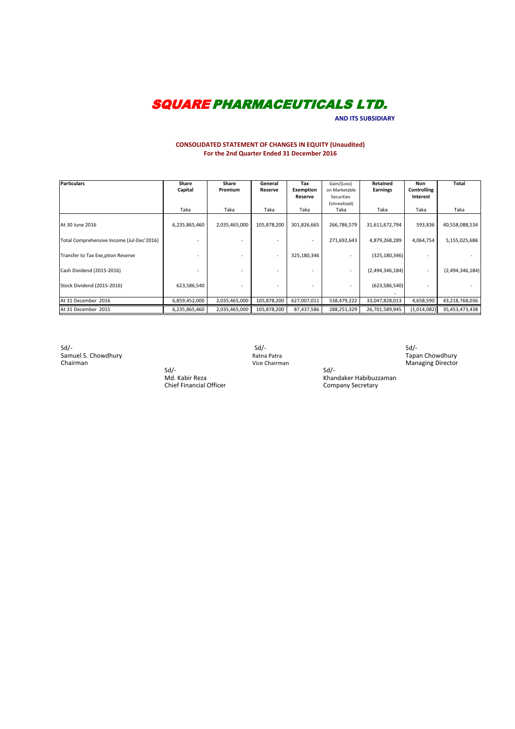**AND ITS SUBSIDIARY**

### **CONSOLIDATED STATEMENT OF CHANGES IN EQUITY (Unaudited) For the 2nd Quarter Ended 31 December 2016**

| <b>Particulars</b>                        | Share         | Share          | General     | Tax              | Gain/(Loss)   | Retained        | Non         | Total           |
|-------------------------------------------|---------------|----------------|-------------|------------------|---------------|-----------------|-------------|-----------------|
|                                           | Capital       | <b>Premium</b> | Reserve     | <b>Exemption</b> | on Marketable | <b>Earnings</b> | Controlling |                 |
|                                           |               |                |             | Reserve          | Securities    |                 | Interest    |                 |
|                                           |               |                |             |                  | (Unrealized)  |                 |             |                 |
|                                           | Taka          | Taka           | Taka        | Taka             | Taka          | Taka            | Taka        | Taka            |
|                                           |               |                |             |                  |               |                 |             |                 |
| At 30 June 2016                           | 6,235,865,460 | 2,035,465,000  | 105,878,200 | 301,826,665      | 266,786,579   | 31,611,672,794  | 593,836     | 40,558,088,534  |
|                                           |               |                |             |                  |               |                 |             |                 |
| Total Comprehensive Income (Jul-Dec'2016) |               |                |             |                  | 271,692,643   | 4,879,268,289   | 4,064,754   | 5,155,025,686   |
|                                           |               |                |             |                  |               |                 |             |                 |
| Transfer to Tax Exe, ption Reserve        |               |                |             | 325,180,346      |               | (325, 180, 346) |             |                 |
|                                           |               |                |             |                  |               |                 |             |                 |
| Cash Dividend (2015-2016)                 |               |                |             |                  |               | (2,494,346,184) |             | (2,494,346,184) |
|                                           |               |                |             |                  |               |                 |             |                 |
| Stock Dividend (2015-2016)                | 623,586,540   |                |             |                  |               | (623, 586, 540) |             |                 |
|                                           |               |                |             |                  |               |                 |             |                 |
| At 31 December 2016                       | 6,859,452,000 | 2,035,465,000  | 105,878,200 | 627,007,011      | 538,479,222   | 33,047,828,013  | 4,658,590   | 43,218,768,036  |
| At 31 December 2015                       | 6,235,865,460 | 2,035,465,000  | 105,878,200 | 87,437,586       | 288,251,329   | 26,701,589,945  | (1,014,082) | 35,453,473,438  |

Sd/- Sd/- Sd/- Samuel S. Chowdhury **Ratna Patra Tapan Chowdhury Ratna Patra** Tapan Chowdhury Ratna Patra Tapan Chowdhury Ratna Patra Tapan Chowdhury Chairman **Managing Director** Chairman Chairman Chairman Managing Director Managing Director

Sd/-<br>Md. Kabir Reza Chief Financial Officer

Sd/-<br>Khandaker Habibuzzaman<br>Company Secretary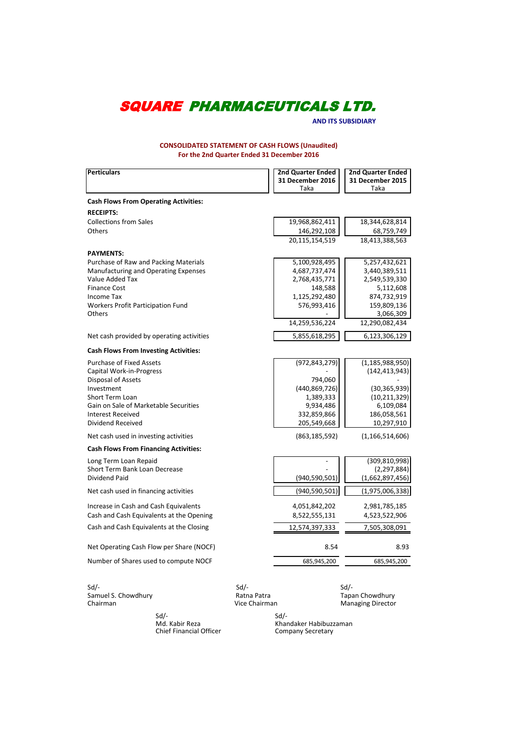**AND ITS SUBSIDIARY**

**CONSOLIDATED STATEMENT OF CASH FLOWS (Unaudited) For the 2nd Quarter Ended 31 December 2016**

| <b>Perticulars</b>                           | <b>2nd Quarter Ended</b><br>31 December 2016 | <b>2nd Quarter Ended</b><br>31 December 2015 |
|----------------------------------------------|----------------------------------------------|----------------------------------------------|
|                                              | Taka                                         | Taka                                         |
| <b>Cash Flows From Operating Activities:</b> |                                              |                                              |
| <b>RECEIPTS:</b>                             |                                              |                                              |
| <b>Collections from Sales</b>                | 19,968,862,411                               | 18,344,628,814                               |
| Others                                       | 146,292,108                                  | 68,759,749                                   |
|                                              | 20,115,154,519                               | 18,413,388,563                               |
| <b>PAYMENTS:</b>                             |                                              |                                              |
| Purchase of Raw and Packing Materials        | 5,100,928,495                                | 5,257,432,621                                |
| Manufacturing and Operating Expenses         | 4,687,737,474                                | 3,440,389,511                                |
| Value Added Tax                              | 2,768,435,771                                | 2,549,539,330                                |
| <b>Finance Cost</b>                          | 148,588                                      | 5,112,608                                    |
| <b>Income Tax</b>                            | 1,125,292,480                                | 874,732,919                                  |
| Workers Profit Participation Fund            | 576,993,416                                  | 159,809,136                                  |
| <b>Others</b>                                |                                              | 3,066,309                                    |
|                                              | 14,259,536,224                               | 12,290,082,434                               |
| Net cash provided by operating activities    | 5,855,618,295                                | 6,123,306,129                                |
| <b>Cash Flows From Investing Activities:</b> |                                              |                                              |
| <b>Purchase of Fixed Assets</b>              | (972, 843, 279)                              | (1, 185, 988, 950)                           |
| Capital Work-in-Progress                     |                                              | (142, 413, 943)                              |
| Disposal of Assets                           | 794,060                                      |                                              |
| Investment                                   | (440, 869, 726)                              | (30, 365, 939)                               |
| Short Term Loan                              | 1,389,333                                    | (10, 211, 329)                               |
| Gain on Sale of Marketable Securities        | 9,934,486                                    | 6,109,084                                    |
| <b>Interest Received</b>                     | 332,859,866                                  | 186,058,561                                  |
| <b>Dividend Received</b>                     | 205,549,668                                  | 10,297,910                                   |
| Net cash used in investing activities        | (863, 185, 592)                              | (1, 166, 514, 606)                           |
| <b>Cash Flows From Financing Activities:</b> |                                              |                                              |
| Long Term Loan Repaid                        |                                              | (309, 810, 998)                              |
| Short Term Bank Loan Decrease                |                                              | (2, 297, 884)                                |
| Dividend Paid                                | (940, 590, 501)                              | (1,662,897,456)                              |
| Net cash used in financing activities        | (940, 590, 501)                              | (1,975,006,338)                              |
| Increase in Cash and Cash Equivalents        | 4,051,842,202                                | 2,981,785,185                                |
| Cash and Cash Equivalents at the Opening     | 8,522,555,131                                | 4,523,522,906                                |
| Cash and Cash Equivalents at the Closing     | 12,574,397,333                               | 7,505,308,091                                |
|                                              |                                              |                                              |
| Net Operating Cash Flow per Share (NOCF)     | 8.54                                         | 8.93                                         |
| Number of Shares used to compute NOCF        | 685,945,200                                  | 685,945,200                                  |
|                                              |                                              |                                              |

Sd/- Sd/- Sd/- Samuel S. Chowdhury **Ratna Patra Chairman** Chairman Chairman Chowdhury Ratna Patra Chairman Chow Ratna Chow Chow

Tapan Chowdhury<br>Managing Director

 $Sd$ - $Sd$ -Chief Financial Officer Company Secretary

Sd/-<br>Khandaker Habibuzzaman<br>Company Secretary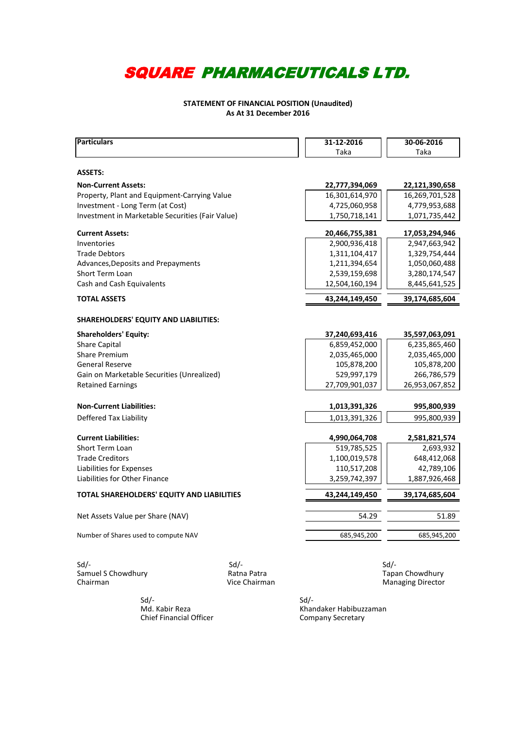### **STATEMENT OF FINANCIAL POSITION (Unaudited) As At 31 December 2016**

| <b>Particulars</b>                               |             | 31-12-2016     | 30-06-2016      |
|--------------------------------------------------|-------------|----------------|-----------------|
|                                                  |             | Taka           | Taka            |
|                                                  |             |                |                 |
| <b>ASSETS:</b>                                   |             |                |                 |
| <b>Non-Current Assets:</b>                       |             | 22,777,394,069 | 22,121,390,658  |
| Property, Plant and Equipment-Carrying Value     |             | 16,301,614,970 | 16,269,701,528  |
| Investment - Long Term (at Cost)                 |             | 4,725,060,958  | 4,779,953,688   |
| Investment in Marketable Securities (Fair Value) |             | 1,750,718,141  | 1,071,735,442   |
| <b>Current Assets:</b>                           |             | 20,466,755,381 | 17,053,294,946  |
| Inventories                                      |             | 2,900,936,418  | 2,947,663,942   |
| <b>Trade Debtors</b>                             |             | 1,311,104,417  | 1,329,754,444   |
| Advances, Deposits and Prepayments               |             | 1,211,394,654  | 1,050,060,488   |
| Short Term Loan                                  |             | 2,539,159,698  | 3,280,174,547   |
| Cash and Cash Equivalents                        |             | 12,504,160,194 | 8,445,641,525   |
| <b>TOTAL ASSETS</b>                              |             | 43,244,149,450 | 39,174,685,604  |
|                                                  |             |                |                 |
| SHAREHOLDERS' EQUITY AND LIABILITIES:            |             |                |                 |
| <b>Shareholders' Equity:</b>                     |             | 37,240,693,416 | 35,597,063,091  |
| <b>Share Capital</b>                             |             | 6,859,452,000  | 6,235,865,460   |
| Share Premium                                    |             | 2,035,465,000  | 2,035,465,000   |
| <b>General Reserve</b>                           |             | 105,878,200    | 105,878,200     |
| Gain on Marketable Securities (Unrealized)       |             | 529,997,179    | 266,786,579     |
| <b>Retained Earnings</b>                         |             | 27,709,901,037 | 26,953,067,852  |
| <b>Non-Current Liabilities:</b>                  |             | 1,013,391,326  | 995,800,939     |
| Deffered Tax Liability                           |             | 1,013,391,326  | 995,800,939     |
|                                                  |             |                |                 |
| <b>Current Liabilities:</b>                      |             | 4,990,064,708  | 2,581,821,574   |
| <b>Short Term Loan</b>                           |             | 519,785,525    | 2,693,932       |
| <b>Trade Creditors</b>                           |             | 1,100,019,578  | 648,412,068     |
| Liabilities for Expenses                         |             | 110,517,208    | 42,789,106      |
| Liabilities for Other Finance                    |             | 3,259,742,397  | 1,887,926,468   |
| TOTAL SHAREHOLDERS' EQUITY AND LIABILITIES       |             | 43,244,149,450 | 39,174,685,604  |
|                                                  |             |                |                 |
| Net Assets Value per Share (NAV)                 |             | 54.29          | 51.89           |
| Number of Shares used to compute NAV             |             | 685,945,200    | 685,945,200     |
|                                                  |             |                |                 |
| $Sd$ -                                           | $Sd$ -      |                | $Sd$ /-         |
| Samuel S Chowdhury                               | Ratna Patra |                | Tapan Chowdhury |

Chairman **Managing Director** Chairman Chairman Managing Director

 $Sd$ - $Sd$ -Chief Financial Officer

Md. Kabir Reza Khandaker Habibuzzaman<br>
Chief Financial Officer Company Secretary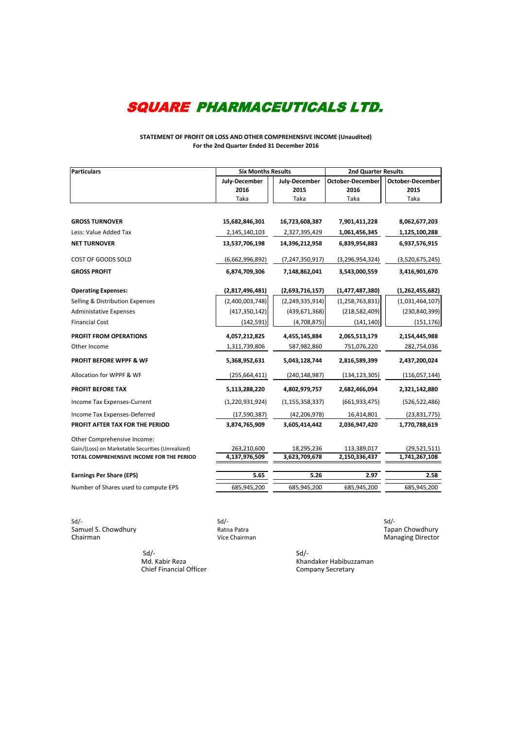**STATEMENT OF PROFIT OR LOSS AND OTHER COMPREHENSIVE INCOME (Unaudited) For the 2nd Quarter Ended 31 December 2016**

| <b>Particulars</b>                                | <b>Six Months Results</b> |                    | 2nd Quarter Results     |                  |  |
|---------------------------------------------------|---------------------------|--------------------|-------------------------|------------------|--|
|                                                   | July-December             | July-December      | <b>October-December</b> | October-December |  |
|                                                   | 2016                      | 2015               | 2016                    | 2015             |  |
|                                                   | Taka                      | Taka               | Taka                    | Taka             |  |
|                                                   |                           |                    |                         |                  |  |
| <b>GROSS TURNOVER</b>                             | 15,682,846,301            | 16,723,608,387     | 7,901,411,228           | 8,062,677,203    |  |
| Less: Value Added Tax                             | 2,145,140,103             | 2,327,395,429      | 1,061,456,345           | 1,125,100,288    |  |
| <b>NET TURNOVER</b>                               | 13,537,706,198            | 14,396,212,958     | 6,839,954,883           | 6,937,576,915    |  |
| COST OF GOODS SOLD                                | (6,662,996,892)           | (7, 247, 350, 917) | (3, 296, 954, 324)      | (3,520,675,245)  |  |
| <b>GROSS PROFIT</b>                               | 6,874,709,306             | 7,148,862,041      | 3,543,000,559           | 3,416,901,670    |  |
| <b>Operating Expenses:</b>                        | (2,817,496,481)           | (2,693,716,157)    | (1,477,487,380)         | (1,262,455,682)  |  |
| Selling & Distribution Expenses                   | (2,400,003,748)           | (2, 249, 335, 914) | (1, 258, 763, 831)      | (1,031,464,107)  |  |
| <b>Administative Expenses</b>                     | (417, 350, 142)           | (439, 671, 368)    | (218, 582, 409)         | (230, 840, 399)  |  |
| <b>Financial Cost</b>                             | (142, 591)                | (4,708,875)        | (141, 140)              | (151, 176)       |  |
| PROFIT FROM OPERATIONS                            | 4,057,212,825             | 4,455,145,884      | 2,065,513,179           | 2,154,445,988    |  |
| Other Income                                      | 1,311,739,806             | 587,982,860        | 751,076,220             | 282,754,036      |  |
| <b>PROFIT BEFORE WPPF &amp; WF</b>                | 5,368,952,631             | 5,043,128,744      | 2,816,589,399           | 2,437,200,024    |  |
| Allocation for WPPF & WF                          | (255, 664, 411)           | (240, 148, 987)    | (134, 123, 305)         | (116,057,144)    |  |
| <b>PROFIT BEFORE TAX</b>                          | 5,113,288,220             | 4,802,979,757      | 2,682,466,094           | 2,321,142,880    |  |
| Income Tax Expenses-Current                       | (1, 220, 931, 924)        | (1, 155, 358, 337) | (661, 933, 475)         | (526, 522, 486)  |  |
| Income Tax Expenses-Deferred                      | (17,590,387)              | (42, 206, 978)     | 16,414,801              | (23,831,775)     |  |
| PROFIT AFTER TAX FOR THE PERIOD                   | 3,874,765,909             | 3,605,414,442      | 2,036,947,420           | 1,770,788,619    |  |
| Other Comprehensive Income:                       |                           |                    |                         |                  |  |
| Gain/(Loss) on Marketable Securities (Unrealized) | 263,210,600               | 18,295,236         | 113,389,017             | (29, 521, 511)   |  |
| TOTAL COMPREHENSIVE INCOME FOR THE PERIOD         | 4,137,976,509             | 3,623,709,678      | 2,150,336,437           | 1,741,267,108    |  |
| <b>Earnings Per Share (EPS)</b>                   | 5.65                      | 5.26               | 2.97                    | 2.58             |  |
| Number of Shares used to compute EPS              | 685,945,200               | 685,945,200        | 685,945,200             | 685,945,200      |  |

Sd/- Sd/- Sd/- Samuel S. Chowdhury **Samuel S. Chowdhury** Ratna Patra **Tapan Chowdhury** Chairman Chowdhury Chairman Chowdhury Chairman

Managing Director

 $Sd$ - $Sd$ -**Company**<br>Chief Financial Officer

Khandaker Habibuzzaman<br>Company Secretary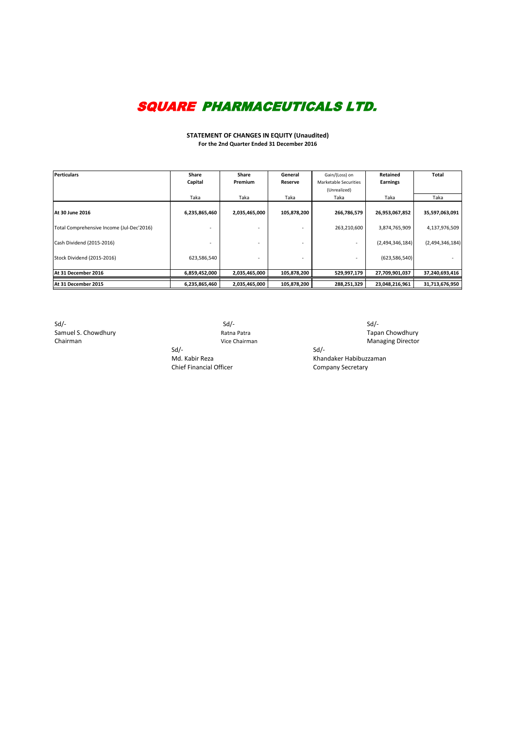**STATEMENT OF CHANGES IN EQUITY (Unaudited) For the 2nd Quarter Ended 31 December 2016**

| <b>Perticulars</b>                        | <b>Share</b>  | <b>Share</b>   | General     | Gain/(Loss) on        | Retained        | <b>Total</b>    |
|-------------------------------------------|---------------|----------------|-------------|-----------------------|-----------------|-----------------|
|                                           | Capital       | <b>Premium</b> | Reserve     | Marketable Securities | <b>Earnings</b> |                 |
|                                           |               |                |             | (Unrealized)          |                 |                 |
|                                           | Taka          | Taka           | Taka        | Taka                  | Taka            | Taka            |
| IAt 30 June 2016                          | 6,235,865,460 | 2,035,465,000  | 105,878,200 | 266,786,579           | 26,953,067,852  | 35,597,063,091  |
| Total Comprehensive Income (Jul-Dec'2016) |               |                |             | 263,210,600           | 3,874,765,909   | 4,137,976,509   |
| Cash Dividend (2015-2016)                 |               |                |             |                       | (2,494,346,184) | (2,494,346,184) |
| Stock Dividend (2015-2016)                | 623,586,540   |                |             |                       | (623,586,540)   |                 |
| At 31 December 2016                       | 6,859,452,000 | 2,035,465,000  | 105,878,200 | 529,997,179           | 27,709,901,037  | 37,240,693,416  |
| At 31 December 2015                       | 6,235,865,460 | 2,035,465,000  | 105,878,200 | 288,251,329           | 23,048,216,961  | 31,713,676,950  |

Sd/- Sd/- Sd/- Samuel S. Chowdhury **Samuel S. Chowdhury Ratna Patra** Ratna Patra **Tapan Chowdhury Ratna Patra** Tapan Chowdhury Chairman **Chairman** Chairman Chairman Chairman Managing Director

Sd/- Sd/- Md. Kabir Reza Khandaker Habibuzzaman Chief Financial Officer Company Secretary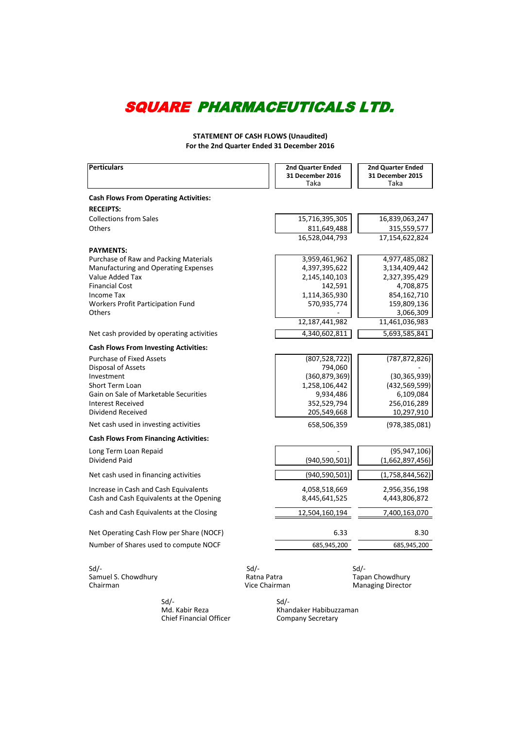**STATEMENT OF CASH FLOWS (Unaudited) For the 2nd Quarter Ended 31 December 2016**

| <b>Perticulars</b>                           |                                         | <b>2nd Quarter Ended</b><br><b>31 December 2016</b><br>Taka | 2nd Quarter Ended<br>31 December 2015<br>Taka          |
|----------------------------------------------|-----------------------------------------|-------------------------------------------------------------|--------------------------------------------------------|
| <b>Cash Flows From Operating Activities:</b> |                                         |                                                             |                                                        |
| <b>RECEIPTS:</b>                             |                                         |                                                             |                                                        |
| <b>Collections from Sales</b>                |                                         | 15,716,395,305                                              | 16,839,063,247                                         |
| Others                                       |                                         | 811,649,488                                                 | 315,559,577                                            |
|                                              |                                         | 16,528,044,793                                              | 17,154,622,824                                         |
| <b>PAYMENTS:</b>                             |                                         |                                                             |                                                        |
| Purchase of Raw and Packing Materials        |                                         | 3,959,461,962                                               | 4,977,485,082                                          |
| Manufacturing and Operating Expenses         |                                         | 4,397,395,622                                               | 3,134,409,442                                          |
| Value Added Tax                              |                                         | 2,145,140,103                                               | 2,327,395,429                                          |
| <b>Financial Cost</b>                        |                                         | 142,591                                                     | 4,708,875                                              |
| Income Tax                                   |                                         | 1,114,365,930                                               | 854,162,710                                            |
| <b>Workers Profit Participation Fund</b>     |                                         | 570,935,774                                                 | 159,809,136                                            |
| <b>Others</b>                                |                                         |                                                             | 3,066,309                                              |
|                                              |                                         | 12,187,441,982                                              | 11,461,036,983                                         |
| Net cash provided by operating activities    |                                         | 4,340,602,811                                               | 5,693,585,841                                          |
| <b>Cash Flows From Investing Activities:</b> |                                         |                                                             |                                                        |
| <b>Purchase of Fixed Assets</b>              |                                         | (807, 528, 722)                                             | (787, 872, 826)                                        |
| Disposal of Assets                           |                                         | 794,060                                                     |                                                        |
| Investment                                   |                                         | (360, 879, 369)                                             | (30, 365, 939)                                         |
| Short Term Loan                              |                                         | 1,258,106,442                                               | (432, 569, 599)                                        |
| Gain on Sale of Marketable Securities        |                                         | 9,934,486                                                   | 6,109,084                                              |
| <b>Interest Received</b>                     |                                         | 352,529,794                                                 | 256,016,289                                            |
| Dividend Received                            |                                         | 205,549,668                                                 | 10,297,910                                             |
| Net cash used in investing activities        |                                         | 658,506,359                                                 | (978, 385, 081)                                        |
| <b>Cash Flows From Financing Activities:</b> |                                         |                                                             |                                                        |
| Long Term Loan Repaid                        |                                         |                                                             | (95, 947, 106)                                         |
| Dividend Paid                                |                                         | (940, 590, 501)                                             | (1,662,897,456)                                        |
| Net cash used in financing activities        |                                         | (940, 590, 501)                                             | (1,758,844,562)                                        |
| Increase in Cash and Cash Equivalents        |                                         | 4,058,518,669                                               | 2,956,356,198                                          |
| Cash and Cash Equivalents at the Opening     |                                         | 8,445,641,525                                               | 4,443,806,872                                          |
| Cash and Cash Equivalents at the Closing     |                                         | 12,504,160,194                                              | 7,400,163,070                                          |
| Net Operating Cash Flow per Share (NOCF)     |                                         | 6.33                                                        | 8.30                                                   |
| Number of Shares used to compute NOCF        |                                         | 685,945,200                                                 | 685,945,200                                            |
| $Sd$ /-<br>Samuel S. Chowdhury<br>Chairman   | $Sd$ /-<br>Ratna Patra<br>Vice Chairman |                                                             | $Sd$ /-<br>Tapan Chowdhury<br><b>Managing Director</b> |

 Sd/- Sd/- Chief Financial Officer

**Mandaker Habibuzzaman**<br>Company Secretary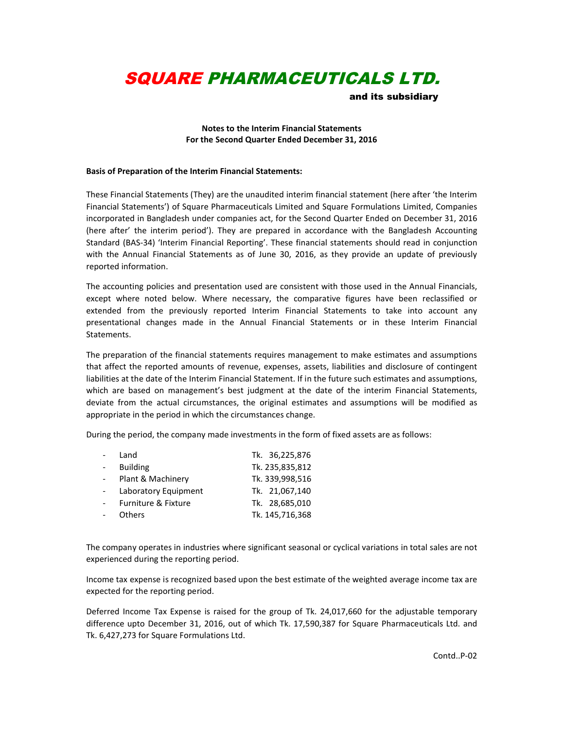and its subsidiary

#### **Notes to the Interim Financial Statements For the Second Quarter Ended December 31, 2016**

#### **Basis of Preparation of the Interim Financial Statements:**

These Financial Statements (They) are the unaudited interim financial statement (here after 'the Interim Financial Statements') of Square Pharmaceuticals Limited and Square Formulations Limited, Companies incorporated in Bangladesh under companies act, for the Second Quarter Ended on December 31, 2016 (here after' the interim period'). They are prepared in accordance with the Bangladesh Accounting Standard (BAS-34) 'Interim Financial Reporting'. These financial statements should read in conjunction with the Annual Financial Statements as of June 30, 2016, as they provide an update of previously reported information.

The accounting policies and presentation used are consistent with those used in the Annual Financials, except where noted below. Where necessary, the comparative figures have been reclassified or extended from the previously reported Interim Financial Statements to take into account any presentational changes made in the Annual Financial Statements or in these Interim Financial Statements.

The preparation of the financial statements requires management to make estimates and assumptions that affect the reported amounts of revenue, expenses, assets, liabilities and disclosure of contingent liabilities at the date of the Interim Financial Statement. If in the future such estimates and assumptions, which are based on management's best judgment at the date of the interim Financial Statements, deviate from the actual circumstances, the original estimates and assumptions will be modified as appropriate in the period in which the circumstances change.

During the period, the company made investments in the form of fixed assets are as follows:

| Land                 | Tk. 36,225,876  |
|----------------------|-----------------|
| <b>Building</b>      | Tk. 235,835,812 |
| Plant & Machinery    | Tk. 339,998,516 |
| Laboratory Equipment | Tk. 21,067,140  |
| Furniture & Fixture  | Tk. 28,685,010  |
| <b>Others</b>        | Tk. 145,716,368 |

The company operates in industries where significant seasonal or cyclical variations in total sales are not experienced during the reporting period.

Income tax expense is recognized based upon the best estimate of the weighted average income tax are expected for the reporting period.

Deferred Income Tax Expense is raised for the group of Tk. 24,017,660 for the adjustable temporary difference upto December 31, 2016, out of which Tk. 17,590,387 for Square Pharmaceuticals Ltd. and Tk. 6,427,273 for Square Formulations Ltd.